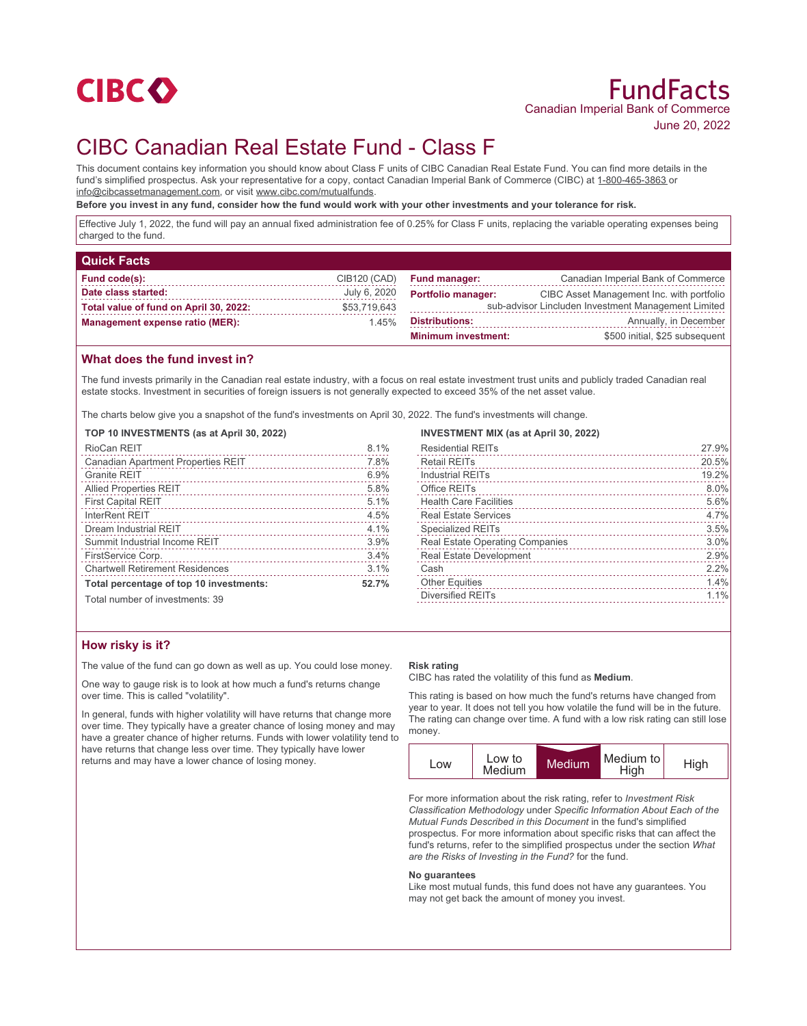

# CIBC Canadian Real Estate Fund - Class F

This document contains key information you should know about Class F units of CIBC Canadian Real Estate Fund. You can find more details in the fund's simplified prospectus. Ask your representative for a copy, contact Canadian Imperial Bank of Commerce (CIBC) at 1-800-465-3863 or info@cibcassetmanagement.com, or visit www.cibc.com/mutualfunds.

**Before you invest in any fund, consider how the fund would work with your other investments and your tolerance for risk.**

Effective July 1, 2022, the fund will pay an annual fixed administration fee of 0.25% for Class F units, replacing the variable operating expenses being charged to the fund.

| <b>Quick Facts</b>                     |              |                                                     |                                           |
|----------------------------------------|--------------|-----------------------------------------------------|-------------------------------------------|
| Fund code(s):                          | CIB120 (CAD) | <b>Fund manager:</b>                                | Canadian Imperial Bank of Commerce        |
| Date class started:                    | July 6, 2020 | <b>Portfolio manager:</b>                           | CIBC Asset Management Inc. with portfolio |
| Total value of fund on April 30, 2022: | \$53,719,643 | sub-advisor Lincluden Investment Management Limited |                                           |
| <b>Management expense ratio (MER):</b> | 1.45%        | <b>Distributions:</b>                               | Annually, in December                     |
|                                        |              | <b>Minimum investment:</b>                          | \$500 initial, \$25 subsequent            |

## **What does the fund invest in?**

The fund invests primarily in the Canadian real estate industry, with a focus on real estate investment trust units and publicly traded Canadian real estate stocks. Investment in securities of foreign issuers is not generally expected to exceed 35% of the net asset value.

The charts below give you a snapshot of the fund's investments on April 30, 2022. The fund's investments will change.

#### **TOP 10 INVESTMENTS (as at April 30, 2022)**

| RioCan REIT                               | 8.1%  |
|-------------------------------------------|-------|
| <b>Canadian Apartment Properties REIT</b> | 7.8%  |
| <b>Granite REIT</b>                       | 6.9%  |
| <b>Allied Properties REIT</b>             | 5.8%  |
| <b>First Capital REIT</b>                 | 5.1%  |
| <b>InterRent REIT</b>                     | 4.5%  |
| Dream Industrial REIT                     | 4.1%  |
| Summit Industrial Income REIT             | 3.9%  |
| FirstService Corp.                        | 3.4%  |
| <b>Chartwell Retirement Residences</b>    | 3.1%  |
| Total percentage of top 10 investments:   | 52.7% |

Total number of investments: 39

# **How risky is it?**

The value of the fund can go down as well as up. You could lose money.

One way to gauge risk is to look at how much a fund's returns change over time. This is called "volatility".

In general, funds with higher volatility will have returns that change more over time. They typically have a greater chance of losing money and may have a greater chance of higher returns. Funds with lower volatility tend to have returns that change less over time. They typically have lower returns and may have a lower chance of losing money.

# **INVESTMENT MIX (as at April 30, 2022)**

| <b>Residential REITs</b>               | 27.9% |
|----------------------------------------|-------|
| <b>Retail REITs</b>                    | 20.5% |
| <b>Industrial REITs</b>                | 19.2% |
| Office REITs                           | 8.0%  |
| <b>Health Care Facilities</b>          | 5.6%  |
| <b>Real Estate Services</b>            | 4.7%  |
| <b>Specialized REITs</b>               | 3.5%  |
| <b>Real Estate Operating Companies</b> | 3.0%  |
| <b>Real Estate Development</b>         | 2.9%  |
| Cash                                   | 2.2%  |
| <b>Other Equities</b>                  | 1.4%  |
| <b>Diversified REITs</b>               | 1.1%  |
|                                        |       |

#### **Risk rating**

CIBC has rated the volatility of this fund as **Medium**.

This rating is based on how much the fund's returns have changed from year to year. It does not tell you how volatile the fund will be in the future. The rating can change over time. A fund with a low risk rating can still lose money.



For more information about the risk rating, refer to *Investment Risk Classification Methodology* under *Specific Information About Each of the Mutual Funds Described in this Document* in the fund's simplified prospectus. For more information about specific risks that can affect the fund's returns, refer to the simplified prospectus under the section *What are the Risks of Investing in the Fund?* for the fund.

#### **No guarantees**

Like most mutual funds, this fund does not have any guarantees. You may not get back the amount of money you invest.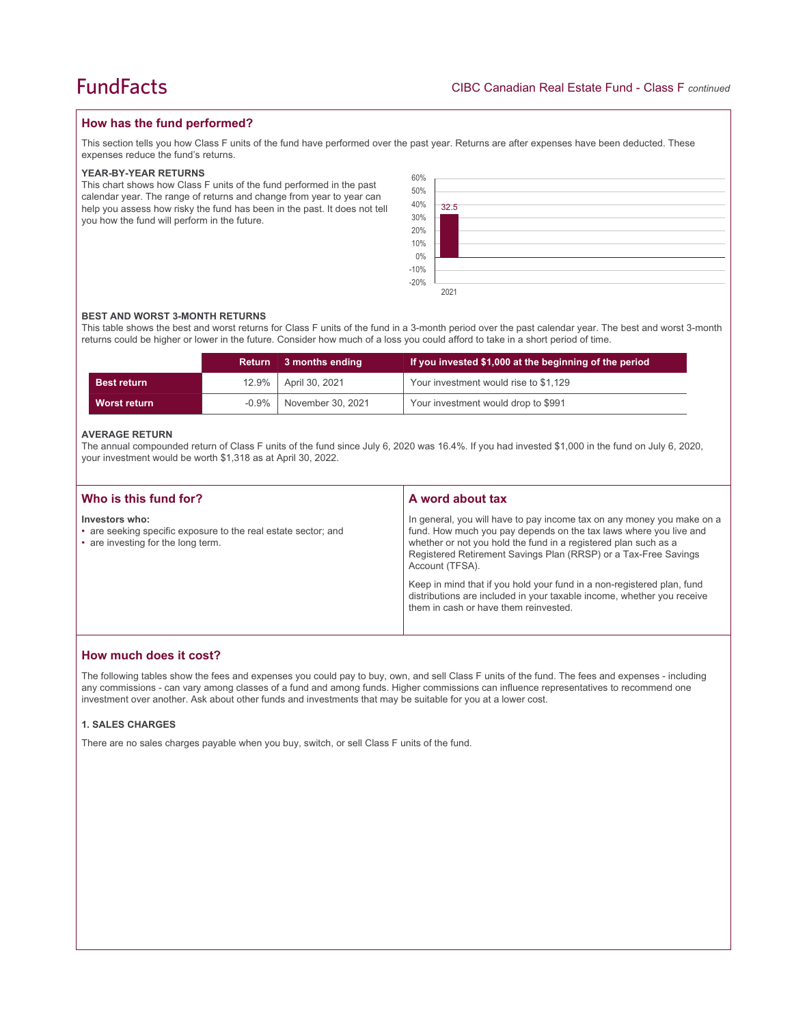### **How has the fund performed?**

This section tells you how Class F units of the fund have performed over the past year. Returns are after expenses have been deducted. These expenses reduce the fund's returns.

#### **YEAR-BY-YEAR RETURNS**

This chart shows how Class F units of the fund performed in the past calendar year. The range of returns and change from year to year can help you assess how risky the fund has been in the past. It does not tell you how the fund will perform in the future.



#### **BEST AND WORST 3-MONTH RETURNS**

This table shows the best and worst returns for Class F units of the fund in a 3-month period over the past calendar year. The best and worst 3-month returns could be higher or lower in the future. Consider how much of a loss you could afford to take in a short period of time.

|                    | <b>Return</b> | 3 months ending   | If you invested \$1,000 at the beginning of the period |
|--------------------|---------------|-------------------|--------------------------------------------------------|
| <b>Best return</b> | $12.9\%$      | April 30, 2021    | Your investment would rise to \$1,129                  |
| Worst return       | -0.9%         | November 30, 2021 | Your investment would drop to \$991                    |

#### **AVERAGE RETURN**

The annual compounded return of Class F units of the fund since July 6, 2020 was 16.4%. If you had invested \$1,000 in the fund on July 6, 2020, your investment would be worth \$1,318 as at April 30, 2022.

| Who is this fund for?                                                                                                  | A word about tax                                                                                                                                                                                                                                                                                     |
|------------------------------------------------------------------------------------------------------------------------|------------------------------------------------------------------------------------------------------------------------------------------------------------------------------------------------------------------------------------------------------------------------------------------------------|
| Investors who:<br>• are seeking specific exposure to the real estate sector; and<br>• are investing for the long term. | In general, you will have to pay income tax on any money you make on a<br>fund. How much you pay depends on the tax laws where you live and<br>whether or not you hold the fund in a registered plan such as a<br>Registered Retirement Savings Plan (RRSP) or a Tax-Free Savings<br>Account (TFSA). |
|                                                                                                                        | Keep in mind that if you hold your fund in a non-registered plan, fund<br>distributions are included in your taxable income, whether you receive<br>them in cash or have them reinvested.                                                                                                            |

# **How much does it cost?**

The following tables show the fees and expenses you could pay to buy, own, and sell Class F units of the fund. The fees and expenses - including any commissions - can vary among classes of a fund and among funds. Higher commissions can influence representatives to recommend one investment over another. Ask about other funds and investments that may be suitable for you at a lower cost.

### **1. SALES CHARGES**

There are no sales charges payable when you buy, switch, or sell Class F units of the fund.